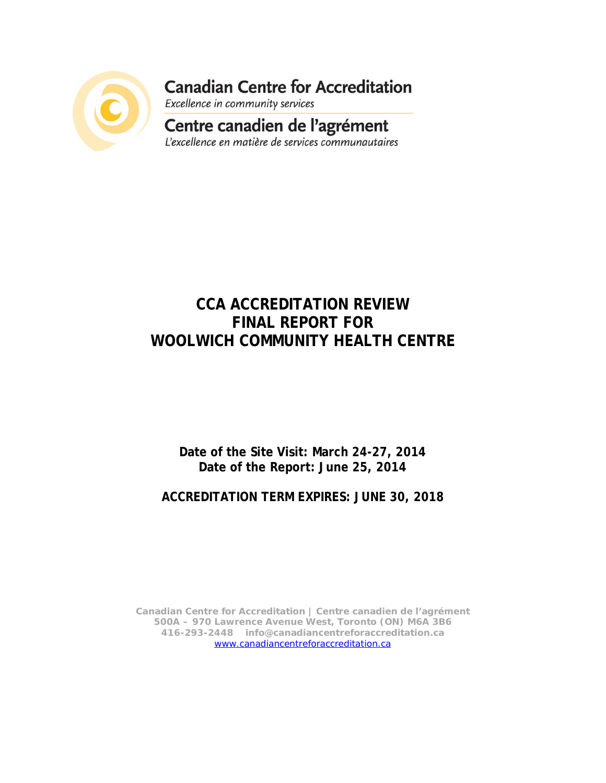

**Canadian Centre for Accreditation** 

Excellence in community services

### Centre canadien de l'agrément L'excellence en matière de services communautaires

# **CCA ACCREDITATION REVIEW FINAL REPORT FOR WOOLWICH COMMUNITY HEALTH CENTRE**

# **Date of the Site Visit: March 24-27, 2014 Date of the Report: June 25, 2014**

# **ACCREDITATION TERM EXPIRES: JUNE 30, 2018**

**Canadian Centre for Accreditation | Centre canadien de l'agrément 500A – 970 Lawrence Avenue West, Toronto (ON) M6A 3B6 416-293-2448 info@canadiancentreforaccreditation.ca** [www.canadiancentreforaccreditation.ca](http://www.canadiancentreforaccreditation.ca/)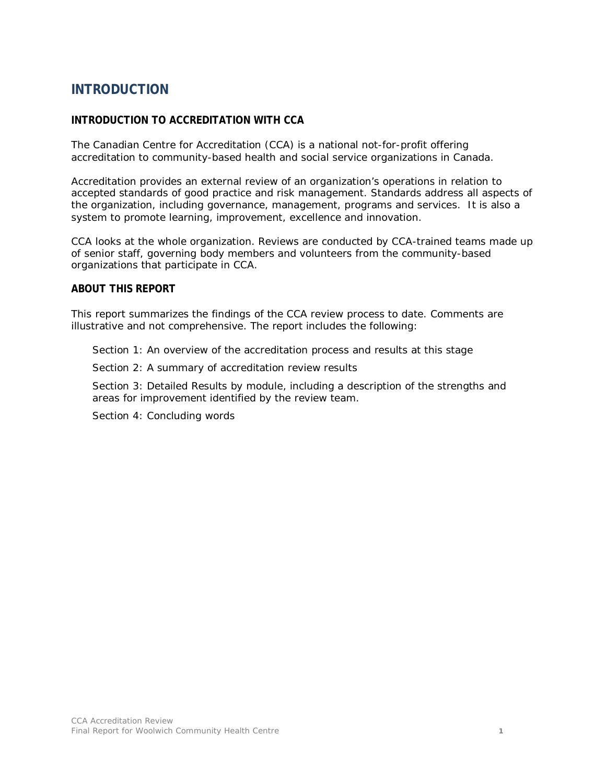# **INTRODUCTION**

### **INTRODUCTION TO ACCREDITATION WITH CCA**

The Canadian Centre for Accreditation (CCA) is a national not-for-profit offering accreditation to community-based health and social service organizations in Canada.

Accreditation provides an external review of an organization's operations in relation to accepted standards of good practice and risk management. Standards address all aspects of the organization, including governance, management, programs and services. It is also a system to promote learning, improvement, excellence and innovation.

CCA looks at the whole organization. Reviews are conducted by CCA-trained teams made up of senior staff, governing body members and volunteers from the community-based organizations that participate in CCA.

#### **ABOUT THIS REPORT**

This report summarizes the findings of the CCA review process to date. Comments are illustrative and not comprehensive. The report includes the following:

Section 1: An overview of the accreditation process and results at this stage

Section 2: A summary of accreditation review results

Section 3: Detailed Results by module, including a description of the strengths and areas for improvement identified by the review team.

Section 4: Concluding words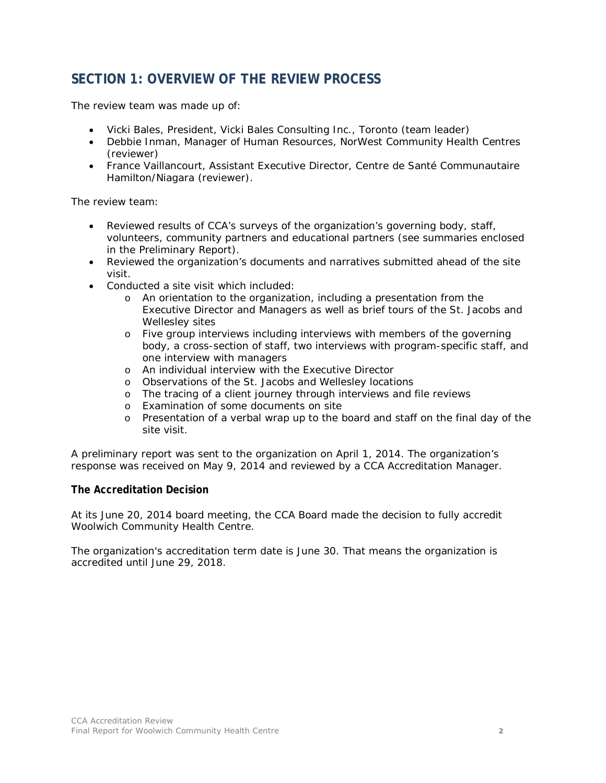## **SECTION 1: OVERVIEW OF THE REVIEW PROCESS**

The review team was made up of:

- Vicki Bales, President, Vicki Bales Consulting Inc., Toronto (team leader)
- Debbie Inman, Manager of Human Resources, NorWest Community Health Centres (reviewer)
- France Vaillancourt, Assistant Executive Director, Centre de Santé Communautaire Hamilton/Niagara (reviewer).

The review team:

- Reviewed results of CCA's surveys of the organization's governing body, staff, volunteers, community partners and educational partners (see summaries enclosed in the Preliminary Report).
- Reviewed the organization's documents and narratives submitted ahead of the site visit.
- Conducted a site visit which included:
	- o An orientation to the organization, including a presentation from the Executive Director and Managers as well as brief tours of the St. Jacobs and Wellesley sites
	- o Five group interviews including interviews with members of the governing body, a cross-section of staff, two interviews with program-specific staff, and one interview with managers
	- o An individual interview with the Executive Director
	- o Observations of the St. Jacobs and Wellesley locations
	- o The tracing of a client journey through interviews and file reviews
	- o Examination of some documents on site
	- o Presentation of a verbal wrap up to the board and staff on the final day of the site visit.

A preliminary report was sent to the organization on April 1, 2014. The organization's response was received on May 9, 2014 and reviewed by a CCA Accreditation Manager.

### **The Accreditation Decision**

At its June 20, 2014 board meeting, the CCA Board made the decision to fully accredit Woolwich Community Health Centre.

The organization's accreditation term date is June 30. That means the organization is accredited until June 29, 2018.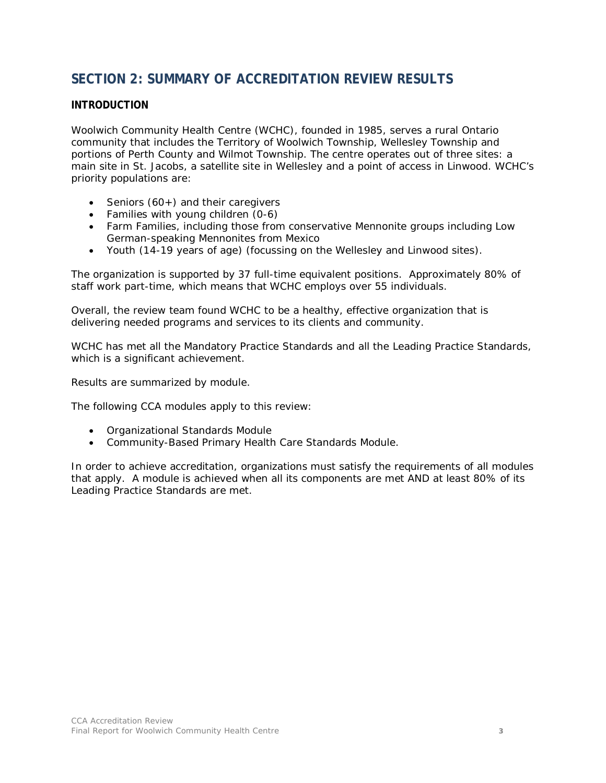## **SECTION 2: SUMMARY OF ACCREDITATION REVIEW RESULTS**

### **INTRODUCTION**

Woolwich Community Health Centre (WCHC), founded in 1985, serves a rural Ontario community that includes the Territory of Woolwich Township, Wellesley Township and portions of Perth County and Wilmot Township. The centre operates out of three sites: a main site in St. Jacobs, a satellite site in Wellesley and a point of access in Linwood. WCHC's priority populations are:

- Seniors (60+) and their caregivers
- Families with young children (0-6)
- Farm Families, including those from conservative Mennonite groups including Low German-speaking Mennonites from Mexico
- Youth (14-19 years of age) (focussing on the Wellesley and Linwood sites).

The organization is supported by 37 full-time equivalent positions. Approximately 80% of staff work part-time, which means that WCHC employs over 55 individuals.

Overall, the review team found WCHC to be a healthy, effective organization that is delivering needed programs and services to its clients and community.

WCHC has met all the Mandatory Practice Standards and all the Leading Practice Standards, which is a significant achievement.

Results are summarized by module.

The following CCA modules apply to this review:

- Organizational Standards Module
- Community-Based Primary Health Care Standards Module.

In order to achieve accreditation, organizations must satisfy the requirements of all modules that apply. A module is achieved when all its components are met AND at least 80% of its Leading Practice Standards are met.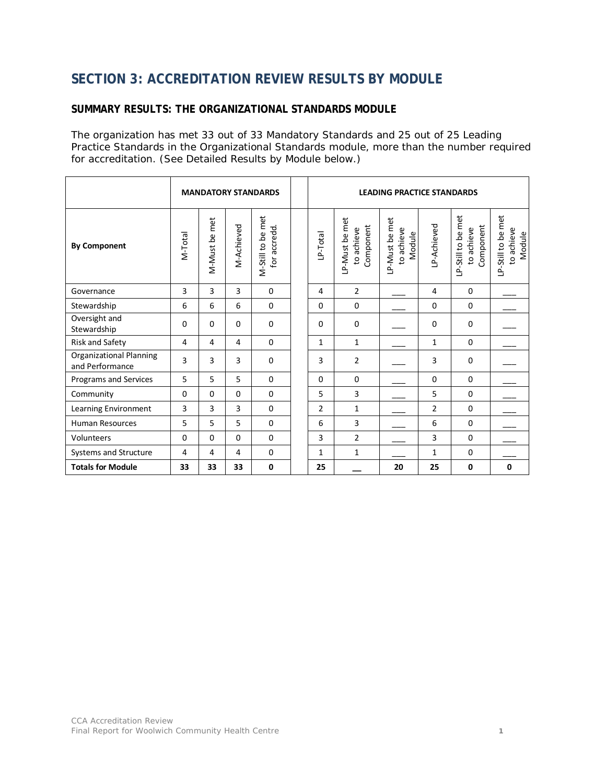# **SECTION 3: ACCREDITATION REVIEW RESULTS BY MODULE**

#### **SUMMARY RESULTS: THE ORGANIZATIONAL STANDARDS MODULE**

The organization has met 33 out of 33 Mandatory Standards and 25 out of 25 Leading Practice Standards in the Organizational Standards module, more than the number required for accreditation. (See Detailed Results by Module below.)

|                                                   | <b>MANDATORY STANDARDS</b> |                  |            |                                   | <b>LEADING PRACTICE STANDARDS</b> |                                           |                                        |                |                                               |                                            |
|---------------------------------------------------|----------------------------|------------------|------------|-----------------------------------|-----------------------------------|-------------------------------------------|----------------------------------------|----------------|-----------------------------------------------|--------------------------------------------|
| <b>By Component</b>                               | VI-Total                   | met<br>M-Must be | M-Achieved | M-Still to be met<br>for accredd. | LP-Total                          | LP-Must be met<br>Component<br>to achieve | LP-Must be met<br>to achieve<br>Module | LP-Achieved    | LP-Still to be met<br>Component<br>to achieve | LP-Still to be met<br>to achieve<br>Module |
| Governance                                        | 3                          | 3                | 3          | $\mathbf 0$                       | 4                                 | $\overline{2}$                            |                                        | 4              | $\mathbf 0$                                   |                                            |
| Stewardship                                       | 6                          | 6                | 6          | $\mathbf 0$                       | $\mathbf 0$                       | $\mathbf 0$                               |                                        | $\mathbf 0$    | $\mathbf 0$                                   |                                            |
| Oversight and<br>Stewardship                      | $\Omega$                   | $\Omega$         | $\Omega$   | $\Omega$                          | 0                                 | $\Omega$                                  |                                        | $\Omega$       | $\Omega$                                      |                                            |
| Risk and Safety                                   | 4                          | 4                | 4          | $\mathbf 0$                       | $\mathbf{1}$                      | $\mathbf{1}$                              |                                        | $\mathbf{1}$   | $\mathbf 0$                                   |                                            |
| <b>Organizational Planning</b><br>and Performance | 3                          | 3                | 3          | $\mathbf 0$                       | 3                                 | $\overline{2}$                            |                                        | 3              | $\mathbf 0$                                   |                                            |
| Programs and Services                             | 5                          | 5                | 5          | $\Omega$                          | $\Omega$                          | $\Omega$                                  |                                        | $\Omega$       | $\Omega$                                      |                                            |
| Community                                         | $\Omega$                   | $\Omega$         | $\Omega$   | $\mathbf 0$                       | 5                                 | 3                                         |                                        | 5              | $\mathbf 0$                                   |                                            |
| Learning Environment                              | $\overline{3}$             | 3                | 3          | $\mathbf 0$                       | $\overline{2}$                    | $\mathbf{1}$                              |                                        | $\overline{2}$ | $\mathbf 0$                                   |                                            |
| <b>Human Resources</b>                            | 5                          | 5                | 5          | $\mathbf{0}$                      | 6                                 | 3                                         |                                        | 6              | $\Omega$                                      |                                            |
| Volunteers                                        | $\Omega$                   | $\Omega$         | $\Omega$   | $\mathbf 0$                       | 3                                 | $\overline{2}$                            |                                        | 3              | $\Omega$                                      |                                            |
| Systems and Structure                             | 4                          | 4                | 4          | $\mathbf 0$                       | $\mathbf{1}$                      | $\mathbf{1}$                              |                                        | $\mathbf{1}$   | $\mathbf 0$                                   |                                            |
| <b>Totals for Module</b>                          | 33                         | 33               | 33         | 0                                 | 25                                |                                           | 20                                     | 25             | $\mathbf{0}$                                  | $\mathbf{0}$                               |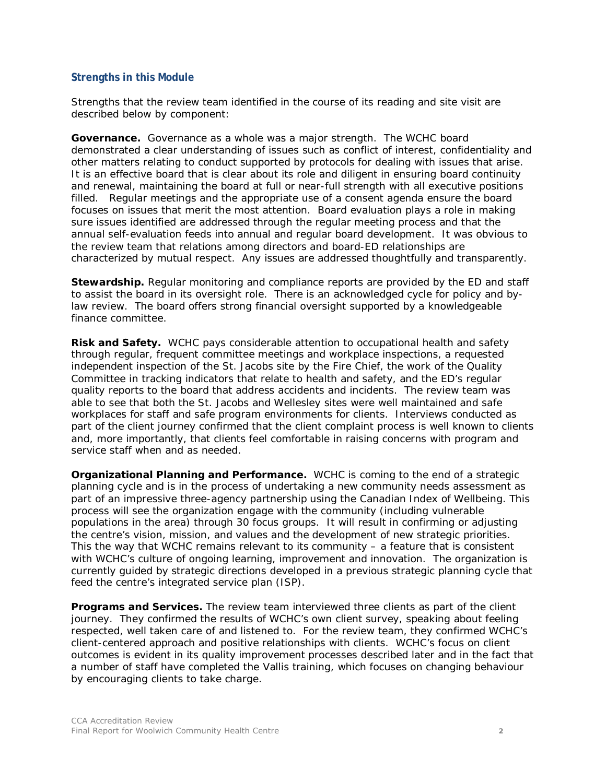### **Strengths in this Module**

Strengths that the review team identified in the course of its reading and site visit are described below by component:

**Governance.** Governance as a whole was a major strength. The WCHC board demonstrated a clear understanding of issues such as conflict of interest, confidentiality and other matters relating to conduct supported by protocols for dealing with issues that arise. It is an effective board that is clear about its role and diligent in ensuring board continuity and renewal, maintaining the board at full or near-full strength with all executive positions filled. Regular meetings and the appropriate use of a consent agenda ensure the board focuses on issues that merit the most attention. Board evaluation plays a role in making sure issues identified are addressed through the regular meeting process and that the annual self-evaluation feeds into annual and regular board development. It was obvious to the review team that relations among directors and board-ED relationships are characterized by mutual respect. Any issues are addressed thoughtfully and transparently.

**Stewardship.** Regular monitoring and compliance reports are provided by the ED and staff to assist the board in its oversight role. There is an acknowledged cycle for policy and bylaw review. The board offers strong financial oversight supported by a knowledgeable finance committee.

**Risk and Safety.** WCHC pays considerable attention to occupational health and safety through regular, frequent committee meetings and workplace inspections, a requested independent inspection of the St. Jacobs site by the Fire Chief, the work of the Quality Committee in tracking indicators that relate to health and safety, and the ED's regular quality reports to the board that address accidents and incidents. The review team was able to see that both the St. Jacobs and Wellesley sites were well maintained and safe workplaces for staff and safe program environments for clients. Interviews conducted as part of the client journey confirmed that the client complaint process is well known to clients and, more importantly, that clients feel comfortable in raising concerns with program and service staff when and as needed.

**Organizational Planning and Performance.** WCHC is coming to the end of a strategic planning cycle and is in the process of undertaking a new community needs assessment as part of an impressive three-agency partnership using the Canadian Index of Wellbeing. This process will see the organization engage with the community (including vulnerable populations in the area) through 30 focus groups. It will result in confirming or adjusting the centre's vision, mission, and values and the development of new strategic priorities. This the way that WCHC remains relevant to its community  $-$  a feature that is consistent with WCHC's culture of ongoing learning, improvement and innovation. The organization is currently guided by strategic directions developed in a previous strategic planning cycle that feed the centre's integrated service plan (ISP).

**Programs and Services.** The review team interviewed three clients as part of the client journey. They confirmed the results of WCHC's own client survey, speaking about feeling respected, well taken care of and listened to. For the review team, they confirmed WCHC's client-centered approach and positive relationships with clients. WCHC's focus on client outcomes is evident in its quality improvement processes described later and in the fact that a number of staff have completed the Vallis training, which focuses on changing behaviour by encouraging clients to take charge.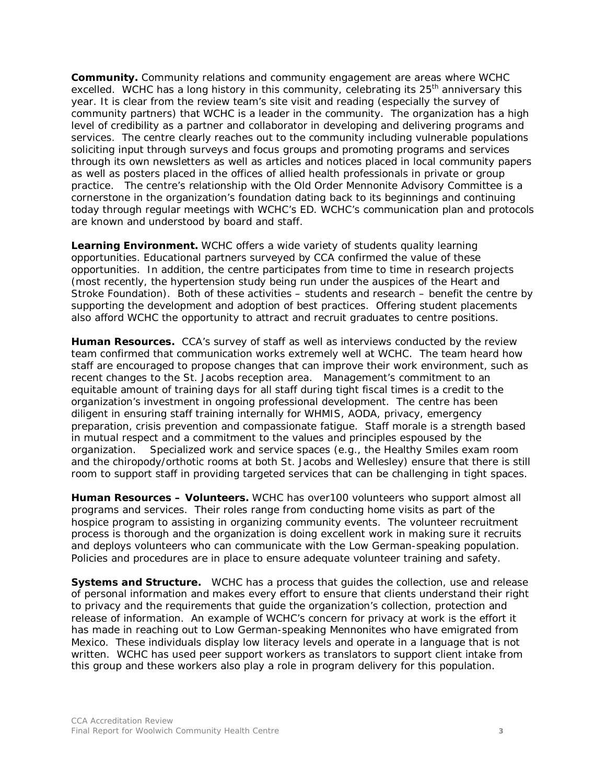**Community.** Community relations and community engagement are areas where WCHC excelled. WCHC has a long history in this community, celebrating its  $25<sup>th</sup>$  anniversary this year. It is clear from the review team's site visit and reading (especially the survey of community partners) that WCHC is a leader in the community. The organization has a high level of credibility as a partner and collaborator in developing and delivering programs and services. The centre clearly reaches out to the community including vulnerable populations soliciting input through surveys and focus groups and promoting programs and services through its own newsletters as well as articles and notices placed in local community papers as well as posters placed in the offices of allied health professionals in private or group practice. The centre's relationship with the Old Order Mennonite Advisory Committee is a cornerstone in the organization's foundation dating back to its beginnings and continuing today through regular meetings with WCHC's ED. WCHC's communication plan and protocols are known and understood by board and staff.

**Learning Environment.** WCHC offers a wide variety of students quality learning opportunities. Educational partners surveyed by CCA confirmed the value of these opportunities. In addition, the centre participates from time to time in research projects (most recently, the hypertension study being run under the auspices of the Heart and Stroke Foundation). Both of these activities – students and research – benefit the centre by supporting the development and adoption of best practices. Offering student placements also afford WCHC the opportunity to attract and recruit graduates to centre positions.

**Human Resources.** CCA's survey of staff as well as interviews conducted by the review team confirmed that communication works extremely well at WCHC. The team heard how staff are encouraged to propose changes that can improve their work environment, such as recent changes to the St. Jacobs reception area. Management's commitment to an equitable amount of training days for all staff during tight fiscal times is a credit to the organization's investment in ongoing professional development. The centre has been diligent in ensuring staff training internally for WHMIS, AODA, privacy, emergency preparation, crisis prevention and compassionate fatigue. Staff morale is a strength based in mutual respect and a commitment to the values and principles espoused by the organization. Specialized work and service spaces (e.g., the Healthy Smiles exam room and the chiropody/orthotic rooms at both St. Jacobs and Wellesley) ensure that there is still room to support staff in providing targeted services that can be challenging in tight spaces.

**Human Resources – Volunteers.** WCHC has over100 volunteers who support almost all programs and services. Their roles range from conducting home visits as part of the hospice program to assisting in organizing community events. The volunteer recruitment process is thorough and the organization is doing excellent work in making sure it recruits and deploys volunteers who can communicate with the Low German-speaking population. Policies and procedures are in place to ensure adequate volunteer training and safety.

**Systems and Structure.** WCHC has a process that guides the collection, use and release of personal information and makes every effort to ensure that clients understand their right to privacy and the requirements that guide the organization's collection, protection and release of information. An example of WCHC's concern for privacy at work is the effort it has made in reaching out to Low German-speaking Mennonites who have emigrated from Mexico. These individuals display low literacy levels and operate in a language that is not written. WCHC has used peer support workers as translators to support client intake from this group and these workers also play a role in program delivery for this population.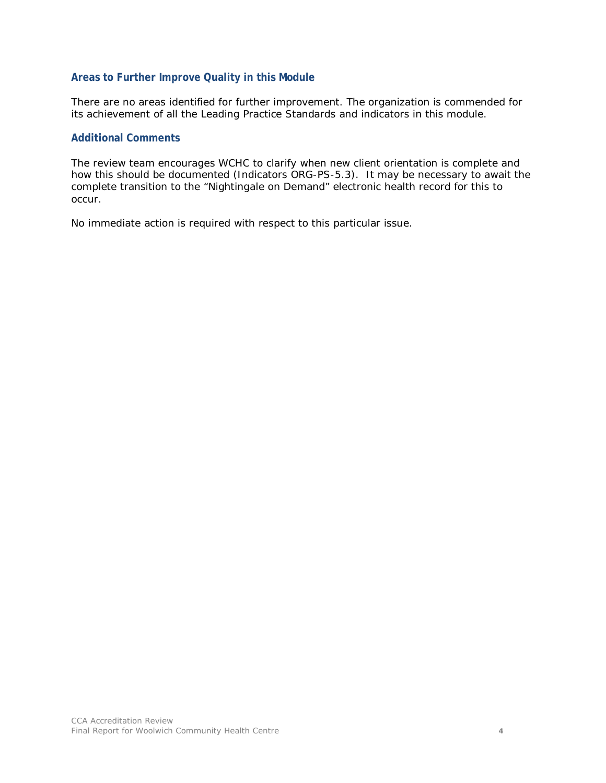#### **Areas to Further Improve Quality in this Module**

There are no areas identified for further improvement. The organization is commended for its achievement of all the Leading Practice Standards and indicators in this module.

#### **Additional Comments**

The review team encourages WCHC to clarify when new client orientation is complete and how this should be documented (Indicators ORG-PS-5.3). It may be necessary to await the complete transition to the "Nightingale on Demand" electronic health record for this to occur.

No immediate action is required with respect to this particular issue.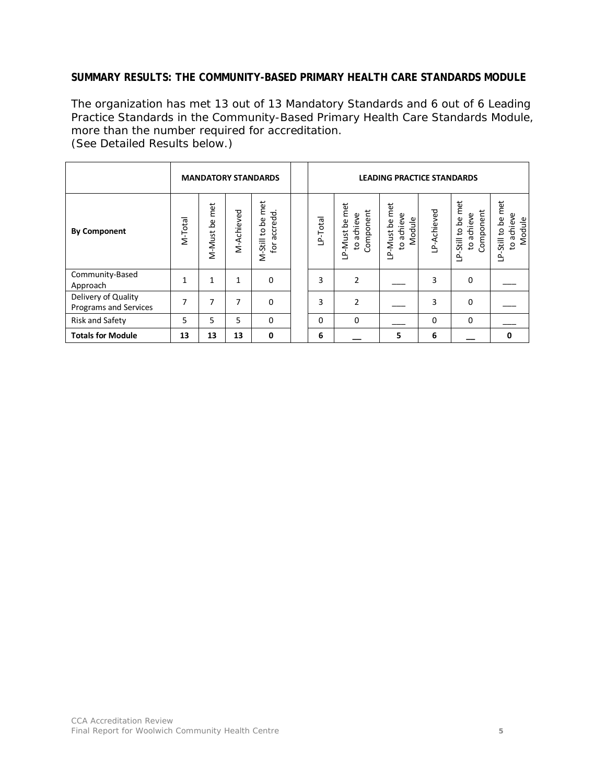### **SUMMARY RESULTS: THE COMMUNITY-BASED PRIMARY HEALTH CARE STANDARDS MODULE**

The organization has met 13 out of 13 Mandatory Standards and 6 out of 6 Leading Practice Standards in the Community-Based Primary Health Care Standards Module, more than the number required for accreditation. (See Detailed Results below.)

|                                              | <b>MANDATORY STANDARDS</b> |                  |              |                                           | <b>LEADING PRACTICE STANDARDS</b> |                                                             |                                        |            |                                               |                                            |
|----------------------------------------------|----------------------------|------------------|--------------|-------------------------------------------|-----------------------------------|-------------------------------------------------------------|----------------------------------------|------------|-----------------------------------------------|--------------------------------------------|
| <b>By Component</b>                          | M-Total                    | met<br>M-Must be | M-Achieved   | met<br>accredd.<br>ഉ<br>M-Still to<br>for | LP-Total                          | met<br>Component<br>achieve<br>LP-Must be<br>$\overline{c}$ | LP-Must be met<br>to achieve<br>Module | P-Achieved | LP-Still to be met<br>Component<br>to achieve | LP-Still to be met<br>to achieve<br>Module |
| Community-Based<br>Approach                  | 1                          | $\mathbf{1}$     | $\mathbf{1}$ | $\Omega$                                  | 3                                 | $\overline{2}$                                              |                                        | 3          | $\Omega$                                      |                                            |
| Delivery of Quality<br>Programs and Services | 7                          | 7                | 7            | 0                                         | 3                                 | 2                                                           |                                        | 3          | $\Omega$                                      |                                            |
| Risk and Safety                              | 5                          | 5                | 5            | $\Omega$                                  | $\Omega$                          | $\mathbf 0$                                                 |                                        | $\Omega$   | $\mathbf 0$                                   |                                            |
| <b>Totals for Module</b>                     | 13                         | 13               | 13           | 0                                         | 6                                 |                                                             | 5                                      | 6          |                                               | 0                                          |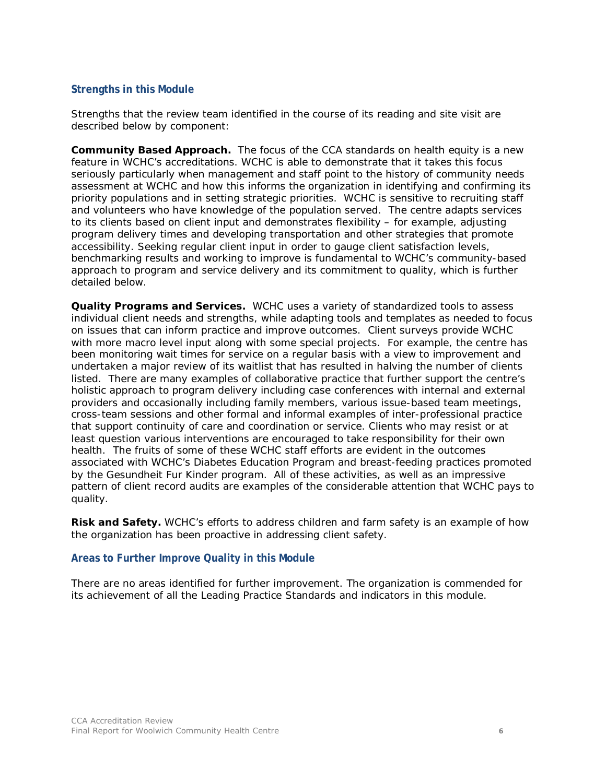#### **Strengths in this Module**

Strengths that the review team identified in the course of its reading and site visit are described below by component:

**Community Based Approach.** The focus of the CCA standards on health equity is a new feature in WCHC's accreditations. WCHC is able to demonstrate that it takes this focus seriously particularly when management and staff point to the history of community needs assessment at WCHC and how this informs the organization in identifying and confirming its priority populations and in setting strategic priorities. WCHC is sensitive to recruiting staff and volunteers who have knowledge of the population served. The centre adapts services to its clients based on client input and demonstrates flexibility – for example, adjusting program delivery times and developing transportation and other strategies that promote accessibility. Seeking regular client input in order to gauge client satisfaction levels, benchmarking results and working to improve is fundamental to WCHC's community-based approach to program and service delivery and its commitment to quality, which is further detailed below.

**Quality Programs and Services.** WCHC uses a variety of standardized tools to assess individual client needs and strengths, while adapting tools and templates as needed to focus on issues that can inform practice and improve outcomes. Client surveys provide WCHC with more macro level input along with some special projects. For example, the centre has been monitoring wait times for service on a regular basis with a view to improvement and undertaken a major review of its waitlist that has resulted in halving the number of clients listed. There are many examples of collaborative practice that further support the centre's holistic approach to program delivery including case conferences with internal and external providers and occasionally including family members, various issue-based team meetings, cross-team sessions and other formal and informal examples of inter-professional practice that support continuity of care and coordination or service. Clients who may resist or at least question various interventions are encouraged to take responsibility for their own health. The fruits of some of these WCHC staff efforts are evident in the outcomes associated with WCHC's Diabetes Education Program and breast-feeding practices promoted by the Gesundheit Fur Kinder program. All of these activities, as well as an impressive pattern of client record audits are examples of the considerable attention that WCHC pays to quality.

**Risk and Safety.** WCHC's efforts to address children and farm safety is an example of how the organization has been proactive in addressing client safety.

#### **Areas to Further Improve Quality in this Module**

There are no areas identified for further improvement. The organization is commended for its achievement of all the Leading Practice Standards and indicators in this module.